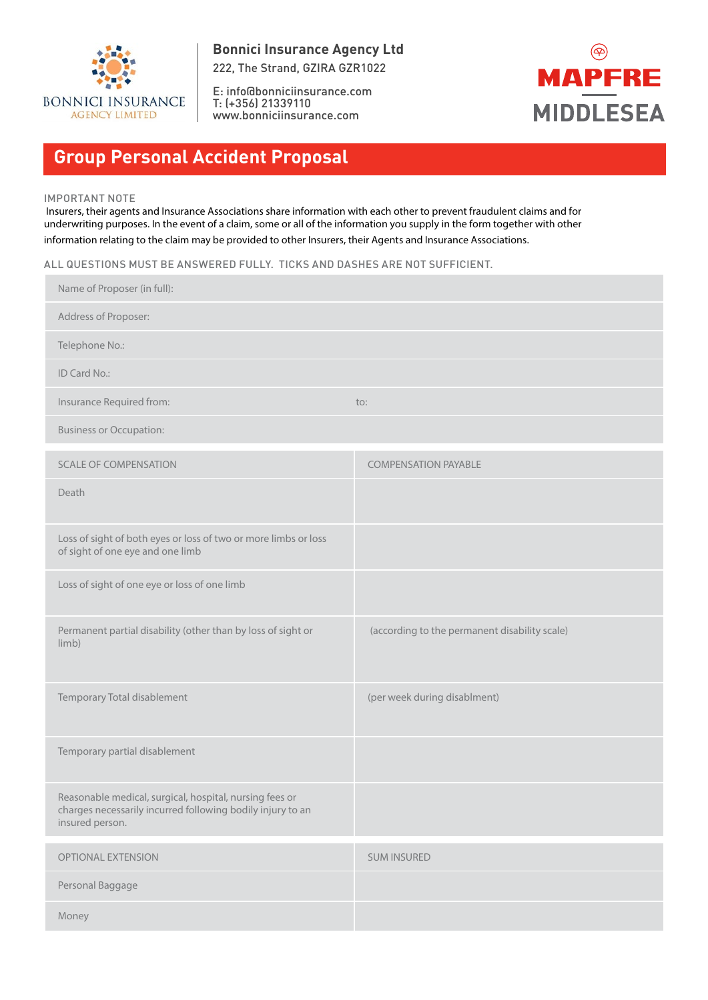

E: info@bonniciinsurance.com T: (+356) 21339110 www.bonniciinsurance.com



# **Group Personal Accident Proposal**

#### IMPORTANT NOTE

 Insurers, their agents and Insurance Associations share information with each other to prevent fraudulent claims and for underwriting purposes. In the event of a claim, some or all of the information you supply in the form together with other information relating to the claim may be provided to other Insurers, their Agents and Insurance Associations.

ALL QUESTIONS MUST BE ANSWERED FULLY. TICKS AND DASHES ARE NOT SUFFICIENT.

| Name of Proposer (in full):                                                                                                              |                                               |
|------------------------------------------------------------------------------------------------------------------------------------------|-----------------------------------------------|
| Address of Proposer:                                                                                                                     |                                               |
| Telephone No.:                                                                                                                           |                                               |
| ID Card No.:                                                                                                                             |                                               |
| Insurance Required from:                                                                                                                 | to:                                           |
| <b>Business or Occupation:</b>                                                                                                           |                                               |
| <b>SCALE OF COMPENSATION</b>                                                                                                             | <b>COMPENSATION PAYABLE</b>                   |
| Death                                                                                                                                    |                                               |
| Loss of sight of both eyes or loss of two or more limbs or loss<br>of sight of one eye and one limb                                      |                                               |
| Loss of sight of one eye or loss of one limb                                                                                             |                                               |
| Permanent partial disability (other than by loss of sight or<br>limb)                                                                    | (according to the permanent disability scale) |
| Temporary Total disablement                                                                                                              | (per week during disablment)                  |
| Temporary partial disablement                                                                                                            |                                               |
| Reasonable medical, surgical, hospital, nursing fees or<br>charges necessarily incurred following bodily injury to an<br>insured person. |                                               |
| OPTIONAL EXTENSION                                                                                                                       | <b>SUM INSURED</b>                            |
| Personal Baggage                                                                                                                         |                                               |
| Money                                                                                                                                    |                                               |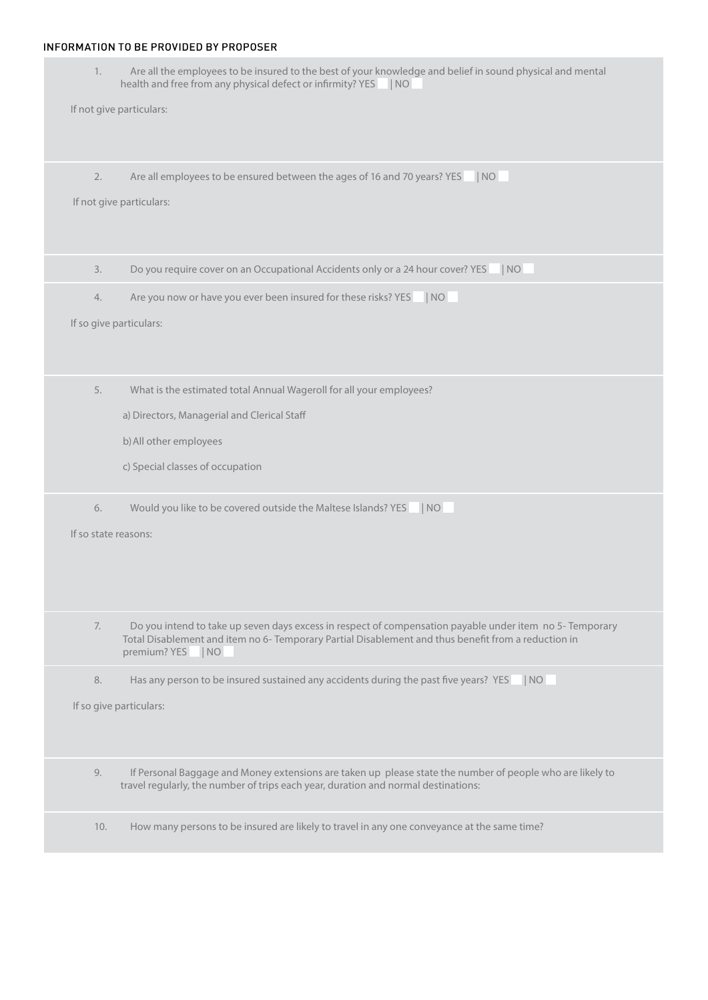## INFORMATION TO BE PROVIDED BY PROPOSER

- 1. Are all the employees to be insured to the best of your knowledge and belief in sound physical and mental health and free from any physical defect or infirmity? YES | NO If not give particulars: 2. Are all employees to be ensured between the ages of 16 and 70 years? YES | NO If not give particulars: 3. Do you require cover on an Occupational Accidents only or a 24 hour cover? YES | NO 4. Are you now or have you ever been insured for these risks? YES | NO If so give particulars: 5. What is the estimated total Annual Wageroll for all your employees? a) Directors, Managerial and Clerical Staff b)All other employees c) Special classes of occupation 6. Would you like to be covered outside the Maltese Islands? YES | NO If so state reasons: 7. Do you intend to take up seven days excess in respect of compensation payable under item no 5- Temporary Total Disablement and item no 6- Temporary Partial Disablement and thus benefit from a reduction in premium? YES | NO 8. Has any person to be insured sustained any accidents during the past five years? YES | NO If so give particulars: 9. If Personal Baggage and Money extensions are taken up please state the number of people who are likely to travel regularly, the number of trips each year, duration and normal destinations:
	- 10. How many persons to be insured are likely to travel in any one conveyance at the same time?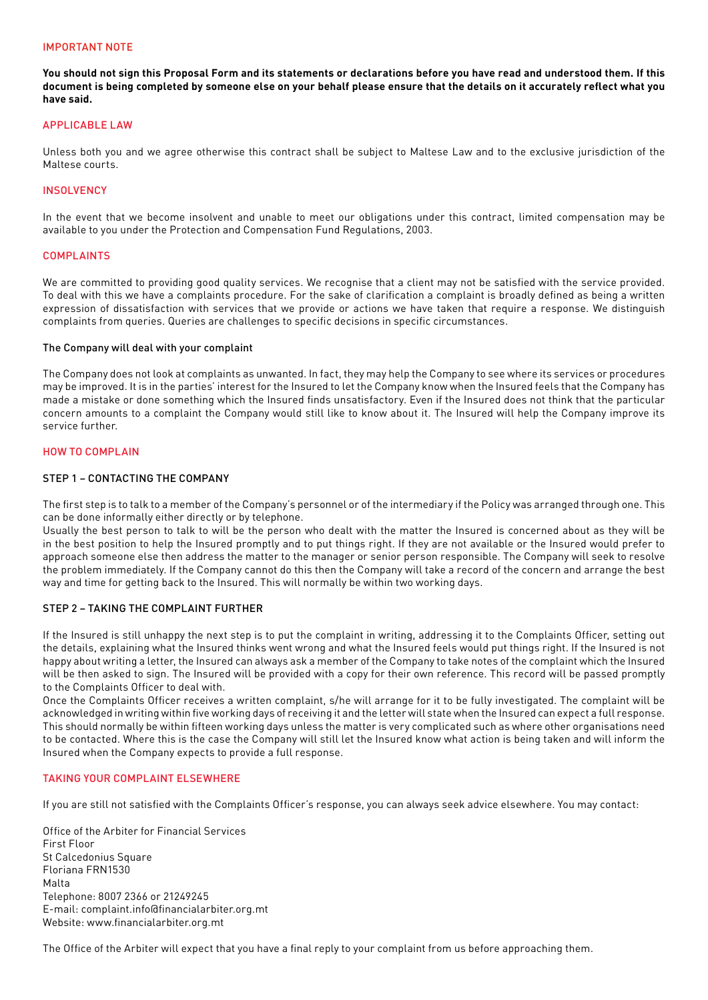#### IMPORTANT NOTE

**You should not sign this Proposal Form and its statements or declarations before you have read and understood them. If this document is being completed by someone else on your behalf please ensure that the details on it accurately reflect what you have said.**

#### APPLICABLE LAW

Unless both you and we agree otherwise this contract shall be subject to Maltese Law and to the exclusive jurisdiction of the Maltese courts.

## **INSOLVENCY**

In the event that we become insolvent and unable to meet our obligations under this contract, limited compensation may be available to you under the Protection and Compensation Fund Regulations, 2003.

#### COMPLAINTS

We are committed to providing good quality services. We recognise that a client may not be satisfied with the service provided. To deal with this we have a complaints procedure. For the sake of clarification a complaint is broadly defined as being a written expression of dissatisfaction with services that we provide or actions we have taken that require a response. We distinguish complaints from queries. Queries are challenges to specific decisions in specific circumstances.

#### The Company will deal with your complaint

The Company does not look at complaints as unwanted. In fact, they may help the Company to see where its services or procedures may be improved. It is in the parties' interest for the Insured to let the Company know when the Insured feels that the Company has made a mistake or done something which the Insured finds unsatisfactory. Even if the Insured does not think that the particular concern amounts to a complaint the Company would still like to know about it. The Insured will help the Company improve its service further.

#### HOW TO COMPLAIN

## STEP 1 – CONTACTING THE COMPANY

The first step is to talk to a member of the Company's personnel or of the intermediary if the Policy was arranged through one. This can be done informally either directly or by telephone.

Usually the best person to talk to will be the person who dealt with the matter the Insured is concerned about as they will be in the best position to help the Insured promptly and to put things right. If they are not available or the Insured would prefer to approach someone else then address the matter to the manager or senior person responsible. The Company will seek to resolve the problem immediately. If the Company cannot do this then the Company will take a record of the concern and arrange the best way and time for getting back to the Insured. This will normally be within two working days.

#### STEP 2 – TAKING THE COMPLAINT FURTHER

If the Insured is still unhappy the next step is to put the complaint in writing, addressing it to the Complaints Officer, setting out the details, explaining what the Insured thinks went wrong and what the Insured feels would put things right. If the Insured is not happy about writing a letter, the Insured can always ask a member of the Company to take notes of the complaint which the Insured will be then asked to sign. The Insured will be provided with a copy for their own reference. This record will be passed promptly to the Complaints Officer to deal with.

Once the Complaints Officer receives a written complaint, s/he will arrange for it to be fully investigated. The complaint will be acknowledged in writing within five working days of receiving it and the letter will state when the Insured can expect a full response. This should normally be within fifteen working days unless the matter is very complicated such as where other organisations need to be contacted. Where this is the case the Company will still let the Insured know what action is being taken and will inform the Insured when the Company expects to provide a full response.

#### TAKING YOUR COMPLAINT ELSEWHERE

If you are still not satisfied with the Complaints Officer's response, you can always seek advice elsewhere. You may contact:

Office of the Arbiter for Financial Services First Floor St Calcedonius Square Floriana FRN1530 Malta Telephone: 8007 2366 or 21249245 E-mail: complaint.info@financialarbiter.org.mt Website: www.financialarbiter.org.mt

The Office of the Arbiter will expect that you have a final reply to your complaint from us before approaching them.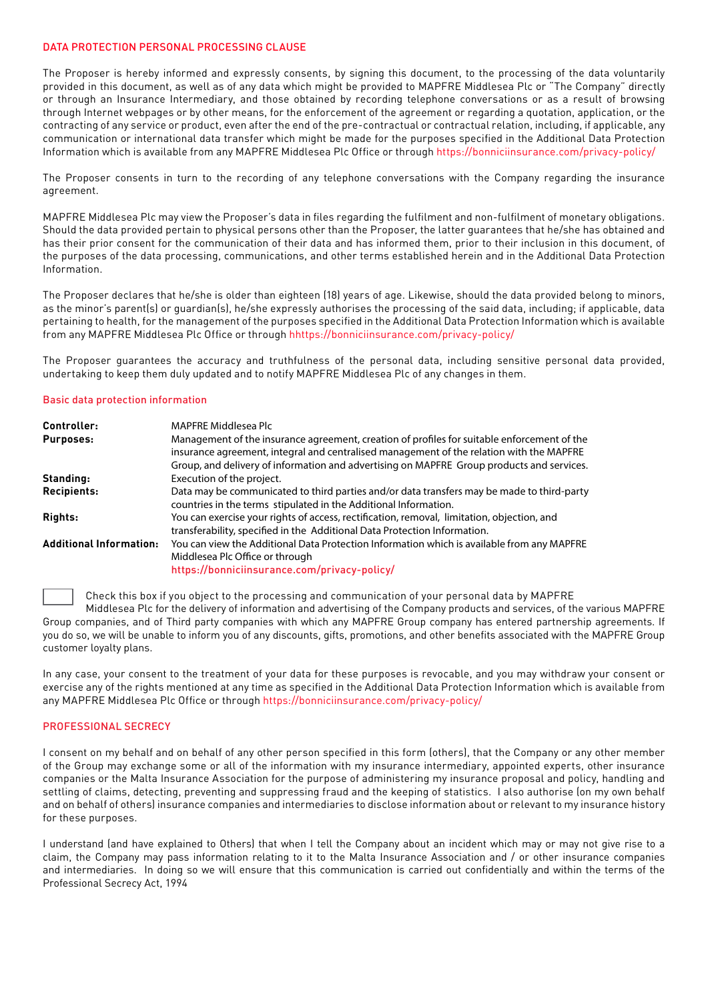## DATA PROTECTION PERSONAL PROCESSING CLAUSE

The Proposer is hereby informed and expressly consents, by signing this document, to the processing of the data voluntarily provided in this document, as well as of any data which might be provided to MAPFRE Middlesea Plc or "The Company" directly or through an Insurance Intermediary, and those obtained by recording telephone conversations or as a result of browsing through Internet webpages or by other means, for the enforcement of the agreement or regarding a quotation, application, or the contracting of any service or product, even after the end of the pre-contractual or contractual relation, including, if applicable, any communication or international data transfer which might be made for the purposes specified in the Additional Data Protection Information which is available from any MAPFRE Middlesea Plc Office or through https://bonniciinsurance.com/privacy-policy/

The Proposer consents in turn to the recording of any telephone conversations with the Company regarding the insurance agreement.

MAPFRE Middlesea Plc may view the Proposer's data in files regarding the fulfilment and non-fulfilment of monetary obligations. Should the data provided pertain to physical persons other than the Proposer, the latter guarantees that he/she has obtained and has their prior consent for the communication of their data and has informed them, prior to their inclusion in this document, of the purposes of the data processing, communications, and other terms established herein and in the Additional Data Protection Information.

The Proposer declares that he/she is older than eighteen (18) years of age. Likewise, should the data provided belong to minors, as the minor's parent(s) or quardian(s), he/she expressly authorises the processing of the said data, including; if applicable, data pertaining to health, for the management of the purposes specified in the Additional Data Protection Information which is available from any MAPFRE Middlesea Plc Office or through hhttps://bonniciinsurance.com/privacy-policy/

The Proposer guarantees the accuracy and truthfulness of the personal data, including sensitive personal data provided, undertaking to keep them duly updated and to notify MAPFRE Middlesea Plc of any changes in them.

#### Basic data protection information

| Controller:                    | <b>MAPFRE Middlesea Plc</b>                                                                                                                                                                                                                                                          |
|--------------------------------|--------------------------------------------------------------------------------------------------------------------------------------------------------------------------------------------------------------------------------------------------------------------------------------|
| <b>Purposes:</b>               | Management of the insurance agreement, creation of profiles for suitable enforcement of the<br>insurance agreement, integral and centralised management of the relation with the MAPFRE<br>Group, and delivery of information and advertising on MAPFRE Group products and services. |
| Standing:                      | Execution of the project.                                                                                                                                                                                                                                                            |
| <b>Recipients:</b>             | Data may be communicated to third parties and/or data transfers may be made to third-party<br>countries in the terms stipulated in the Additional Information.                                                                                                                       |
| Rights:                        | You can exercise your rights of access, rectification, removal, limitation, objection, and<br>transferability, specified in the Additional Data Protection Information.                                                                                                              |
| <b>Additional Information:</b> | You can view the Additional Data Protection Information which is available from any MAPFRE<br>Middlesea Plc Office or through<br>https://bonniciinsurance.com/privacy-policy/                                                                                                        |

Check this box if you object to the processing and communication of your personal data by MAPFRE

Middlesea Plc for the delivery of information and advertising of the Company products and services, of the various MAPFRE Group companies, and of Third party companies with which any MAPFRE Group company has entered partnership agreements. If you do so, we will be unable to inform you of any discounts, gifts, promotions, and other benefits associated with the MAPFRE Group customer loyalty plans.

In any case, your consent to the treatment of your data for these purposes is revocable, and you may withdraw your consent or exercise any of the rights mentioned at any time as specified in the Additional Data Protection Information which is available from any MAPFRE Middlesea Plc Office or through https://bonniciinsurance.com/privacy-policy/

#### PROFESSIONAL SECRECY

I consent on my behalf and on behalf of any other person specified in this form (others), that the Company or any other member of the Group may exchange some or all of the information with my insurance intermediary, appointed experts, other insurance companies or the Malta Insurance Association for the purpose of administering my insurance proposal and policy, handling and settling of claims, detecting, preventing and suppressing fraud and the keeping of statistics. I also authorise (on my own behalf and on behalf of others) insurance companies and intermediaries to disclose information about or relevant to my insurance history for these purposes.

I understand (and have explained to Others) that when I tell the Company about an incident which may or may not give rise to a claim, the Company may pass information relating to it to the Malta Insurance Association and / or other insurance companies and intermediaries. In doing so we will ensure that this communication is carried out confidentially and within the terms of the Professional Secrecy Act, 1994